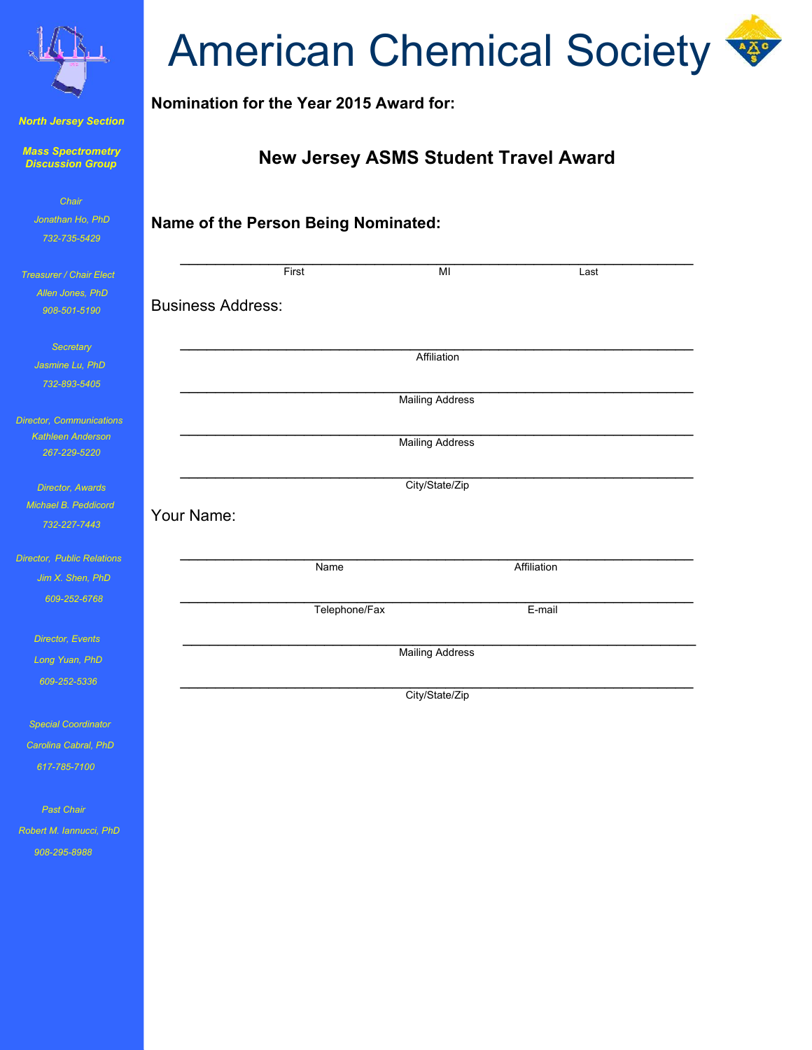

*North Jersey Section*

*Mass Spectrometry Discussion Group*

| Chair            |
|------------------|
| Jonathan Ho. PhD |
| 732-735-5429     |

 *Treasurer / Chair Elect Allen Jone 908-501-5190*

> **Secret** *Jasmine Li 732-893-5405*

*Director, Comm* **Kathleen A** *267-229-5220*

*Director, A Michael B. Peddicord 732-227-7443*

*Director, Public Jim X. Sh 609-252-6768* 

*Director, E* 

*Long Yuan* 

 *609-252-5336* 

**Special Coo** *Carolina Cab 617-785-7100* 

 *Past Chair Robert M. Iannucci, PhD 908-295-8988* 

## **American Chemical Society**

**Nomination for the Year 2015 Award for:**

## **New Jersey ASMS Student Travel Award**

| to, PhD<br>$-5429$ | Name of the Person Being Nominated: |               |                        |             |  |
|--------------------|-------------------------------------|---------------|------------------------|-------------|--|
| air Elect          |                                     | First         | MI                     | Last        |  |
| s, PhD             |                                     |               |                        |             |  |
| $-5190$            | <b>Business Address:</b>            |               |                        |             |  |
| ary                |                                     |               |                        |             |  |
| $\mu$ , PhD        |                                     |               | Affiliation            |             |  |
| $-5405$            |                                     |               |                        |             |  |
|                    |                                     |               | <b>Mailing Address</b> |             |  |
| nunications        |                                     |               |                        |             |  |
| nderson<br>$-5220$ |                                     |               | <b>Mailing Address</b> |             |  |
|                    |                                     |               |                        |             |  |
| <u> Wards</u>      |                                     |               | City/State/Zip         |             |  |
| eddicord           | Your Name:                          |               |                        |             |  |
| $-7443$            |                                     |               |                        |             |  |
| Relations:         |                                     |               |                        |             |  |
| en, PhD            |                                     | Name          |                        | Affiliation |  |
| $-6768$            |                                     | Telephone/Fax |                        | E-mail      |  |
|                    |                                     |               |                        |             |  |
| vents              | <b>Mailing Address</b>              |               |                        |             |  |
| , PhD              |                                     |               |                        |             |  |
| 5336               |                                     |               | City/State/Zip         |             |  |
|                    |                                     |               |                        |             |  |
| rdinator           |                                     |               |                        |             |  |
| ral, PhD           |                                     |               |                        |             |  |
| 100 <sub>1</sub>   |                                     |               |                        |             |  |
|                    |                                     |               |                        |             |  |
| ir.                |                                     |               |                        |             |  |